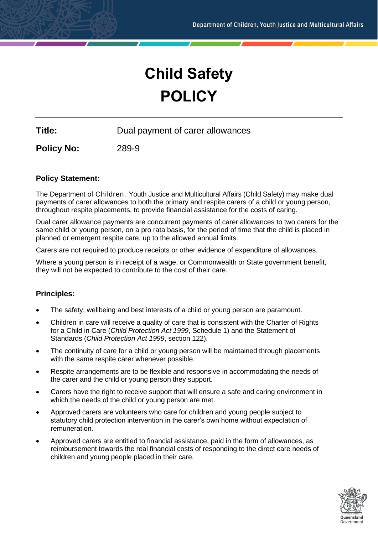# **Child Safety POLICY**

**Title:** Dual payment of carer allowances

**Policy No:** 289-9

# **Policy Statement:**

The Department of Children, Youth Justice and Multicultural Affairs (Child Safety) may make dual payments of carer allowances to both the primary and respite carers of a child or young person, throughout respite placements, to provide financial assistance for the costs of caring.

Dual carer allowance payments are concurrent payments of carer allowances to two carers for the same child or young person, on a pro rata basis, for the period of time that the child is placed in planned or emergent respite care, up to the allowed annual limits.

Carers are not required to produce receipts or other evidence of expenditure of allowances.

Where a young person is in receipt of a wage, or Commonwealth or State government benefit, they will not be expected to contribute to the cost of their care.

## **Principles:**

- The safety, wellbeing and best interests of a child or young person are paramount.
- Children in care will receive a quality of care that is consistent with the Charter of Rights for a Child in Care (*Child Protection Act 1999*, Schedule 1) and the Statement of Standards (*Child Protection Act 1999*, section 122).
- The continuity of care for a child or young person will be maintained through placements with the same respite carer whenever possible.
- Respite arrangements are to be flexible and responsive in accommodating the needs of the carer and the child or young person they support.
- Carers have the right to receive support that will ensure a safe and caring environment in which the needs of the child or young person are met.
- Approved carers are volunteers who care for children and young people subject to statutory child protection intervention in the carer's own home without expectation of remuneration.
- Approved carers are entitled to financial assistance, paid in the form of allowances, as reimbursement towards the real financial costs of responding to the direct care needs of children and young people placed in their care.

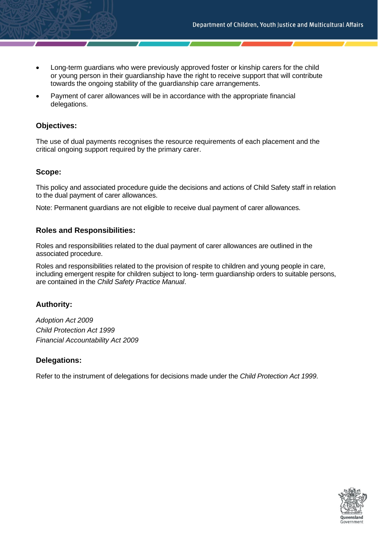- Long-term guardians who were previously approved foster or kinship carers for the child or young person in their guardianship have the right to receive support that will contribute towards the ongoing stability of the guardianship care arrangements.
- Payment of carer allowances will be in accordance with the appropriate financial delegations.

# **Objectives:**

The use of dual payments recognises the resource requirements of each placement and the critical ongoing support required by the primary carer.

# **Scope:**

This policy and associated procedure guide the decisions and actions of Child Safety staff in relation to the dual payment of carer allowances.

Note: Permanent guardians are not eligible to receive dual payment of carer allowances.

# **Roles and Responsibilities:**

Roles and responsibilities related to the dual payment of carer allowances are outlined in the associated procedure.

Roles and responsibilities related to the provision of respite to children and young people in care, including emergent respite for children subject to long- term guardianship orders to suitable persons, are contained in the *Child Safety Practice Manual*.

# **Authority:**

*Adoption Act 2009 Child Protection Act 1999 Financial Accountability Act 2009*

# **Delegations:**

Refer to the instrument of delegations for decisions made under the *Child Protection Act 1999*.

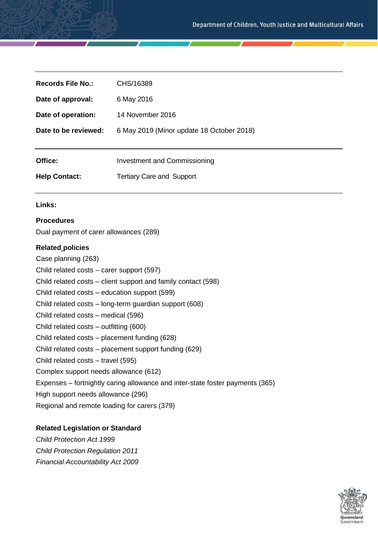| Records File No.:    | CHS/16389                                 |
|----------------------|-------------------------------------------|
| Date of approval:    | 6 May 2016                                |
| Date of operation:   | 14 November 2016                          |
| Date to be reviewed: | 6 May 2019 (Minor update 18 October 2018) |
|                      |                                           |
| Office:              | <b>Investment and Commissioning</b>       |
| <b>Help Contact:</b> | <b>Tertiary Care and Support</b>          |

#### **Links:**

## **Procedures**

Dual payment of carer allowances (289)

## **Related policies**

Case planning (263) Child related costs – carer support (597) Child related costs – client support and family contact (598) Child related costs – education support (599) Child related costs – long-term guardian support (608) Child related costs – medical (596) Child related costs – outfitting (600) Child related costs – placement funding (628) Child related costs – placement support funding (629) Child related costs – travel (595) Complex support needs allowance (612) Expenses – fortnightly caring allowance and inter-state foster payments (365) High support needs allowance (296) Regional and remote loading for carers (379)

## **Related Legislation or Standard**

*Child Protection Act 1999 Child Protection Regulation 2011 Financial Accountability Act 2009*